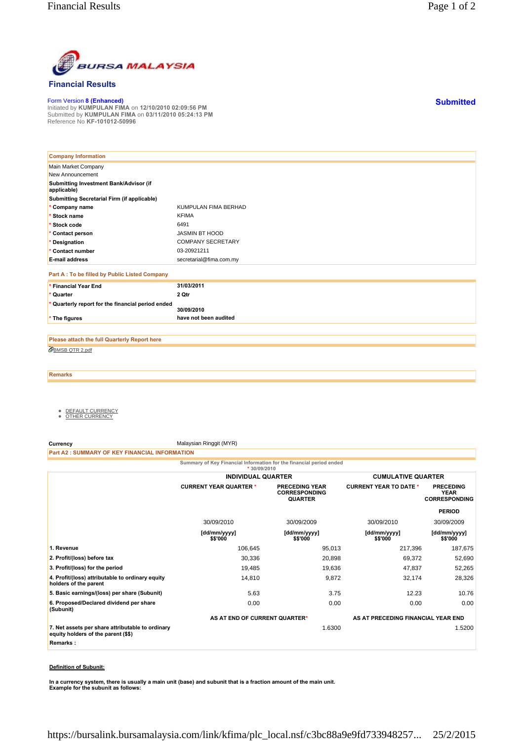

## **Financial Results**

Form Version **8 (Enhanced)** Initiated by **KUMPULAN FIMA** on **12/10/2010 02:09:56 PM** Submitted by **KUMPULAN FIMA** on **03/11/2010 05:24:13 PM** Reference No **KF-101012-50996**

| <b>Company Information</b>                            |                          |
|-------------------------------------------------------|--------------------------|
| Main Market Company                                   |                          |
| New Announcement                                      |                          |
| Submitting Investment Bank/Advisor (if<br>applicable) |                          |
| Submitting Secretarial Firm (if applicable)           |                          |
| * Company name                                        | KUMPULAN FIMA BERHAD     |
| * Stock name                                          | <b>KFIMA</b>             |
| * Stock code                                          | 6491                     |
| * Contact person                                      | <b>JASMIN BT HOOD</b>    |
| * Designation                                         | <b>COMPANY SECRETARY</b> |
| * Contact number                                      | 03-20921211              |
| <b>E-mail address</b>                                 | secretarial@fima.com.my  |
| Part A : To be filled by Public Listed Company        |                          |
| * Financial Year End                                  | 31/03/2011               |
| * Quarter                                             | 2 Qtr                    |
| * Quarterly report for the financial period ended     |                          |
|                                                       | 30/09/2010               |
| * The figures                                         | have not been audited    |

BMSB QTR 2.pdf **Please attach the full Quarterly Report here**

**Remarks**

- <u>DEFAULT CURRENCY</u><br>● <u>OTHER CURRENCY</u>
- 

**Currency** Malaysian Ringgit (MYR)

**Part A2 : SUMMARY OF KEY FINANCIAL INFORMATION**

**Summary of Key Financial Information for the financial period ended**

|                                                                                         | $*30/09/2010$                 |                                                                 |                                    |                                                         |
|-----------------------------------------------------------------------------------------|-------------------------------|-----------------------------------------------------------------|------------------------------------|---------------------------------------------------------|
|                                                                                         | <b>INDIVIDUAL QUARTER</b>     |                                                                 | <b>CUMULATIVE QUARTER</b>          |                                                         |
|                                                                                         | <b>CURRENT YEAR QUARTER *</b> | <b>PRECEDING YEAR</b><br><b>CORRESPONDING</b><br><b>QUARTER</b> | <b>CURRENT YEAR TO DATE *</b>      | <b>PRECEDING</b><br><b>YEAR</b><br><b>CORRESPONDING</b> |
|                                                                                         |                               |                                                                 |                                    | <b>PERIOD</b>                                           |
|                                                                                         | 30/09/2010                    | 30/09/2009                                                      | 30/09/2010                         | 30/09/2009                                              |
|                                                                                         | [dd/mm/yyyy]<br>\$\$'000      | [dd/mm/yyyy]<br>\$\$'000                                        | [dd/mm/yyyy]<br>\$\$'000           | [dd/mm/yyyy]<br>\$\$'000                                |
| 1. Revenue                                                                              | 106,645                       | 95,013                                                          | 217,396                            | 187,675                                                 |
| 2. Profit/(loss) before tax                                                             | 30,336                        | 20,898                                                          | 69,372                             | 52,690                                                  |
| 3. Profit/(loss) for the period                                                         | 19,485                        | 19,636                                                          | 47,837                             | 52,265                                                  |
| 4. Profit/(loss) attributable to ordinary equity<br>holders of the parent               | 14,810                        | 9,872                                                           | 32,174                             | 28,326                                                  |
| 5. Basic earnings/(loss) per share (Subunit)                                            | 5.63                          | 3.75                                                            | 12.23                              | 10.76                                                   |
| 6. Proposed/Declared dividend per share<br>(Subunit)                                    | 0.00                          | 0.00                                                            | 0.00                               | 0.00                                                    |
|                                                                                         | AS AT END OF CURRENT QUARTER* |                                                                 | AS AT PRECEDING FINANCIAL YEAR END |                                                         |
| 7. Net assets per share attributable to ordinary<br>equity holders of the parent (\$\$) |                               | 1.6300                                                          |                                    | 1.5200                                                  |
| Remarks:                                                                                |                               |                                                                 |                                    |                                                         |
|                                                                                         |                               |                                                                 |                                    |                                                         |

## **Definition of Subunit:**

**In a currency system, there is usually a main unit (base) and subunit that is a fraction amount of the main unit. Example for the subunit as follows:**

**Submitted**